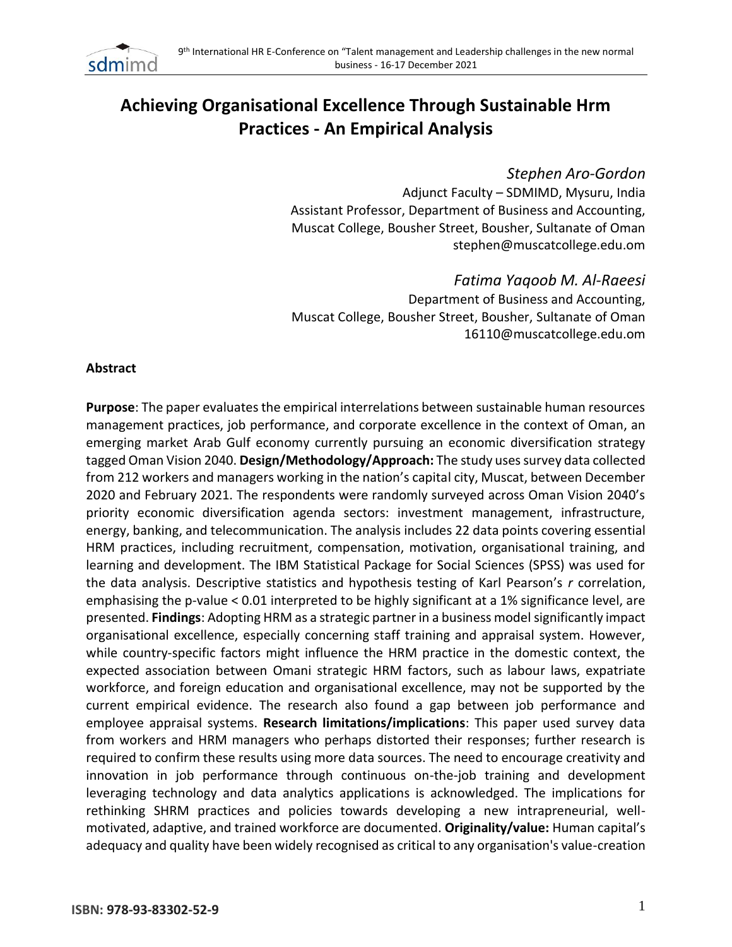

# **Achieving Organisational Excellence Through Sustainable Hrm Practices - An Empirical Analysis**

# *Stephen Aro-Gordon*

Adjunct Faculty – SDMIMD, Mysuru, India Assistant Professor, Department of Business and Accounting, Muscat College, Bousher Street, Bousher, Sultanate of Oman [stephen@muscatcollege.edu.om](mailto:stephen@muscatcollege.edu.om)

*Fatima Yaqoob M. Al-Raeesi*  Department of Business and Accounting, Muscat College, Bousher Street, Bousher, Sultanate of Oman [16110@muscatcollege.edu.om](mailto:16110@muscatcollege.edu.om)

#### **Abstract**

**Purpose**: The paper evaluates the empirical interrelations between sustainable human resources management practices, job performance, and corporate excellence in the context of Oman, an emerging market Arab Gulf economy currently pursuing an economic diversification strategy tagged Oman Vision 2040. **Design/Methodology/Approach:** The study uses survey data collected from 212 workers and managers working in the nation's capital city, Muscat, between December 2020 and February 2021. The respondents were randomly surveyed across Oman Vision 2040's priority economic diversification agenda sectors: investment management, infrastructure, energy, banking, and telecommunication. The analysis includes 22 data points covering essential HRM practices, including recruitment, compensation, motivation, organisational training, and learning and development. The IBM Statistical Package for Social Sciences (SPSS) was used for the data analysis. Descriptive statistics and hypothesis testing of Karl Pearson's *r* correlation, emphasising the p-value < 0.01 interpreted to be highly significant at a 1% significance level, are presented. **Findings**: Adopting HRM as a strategic partner in a business model significantly impact organisational excellence, especially concerning staff training and appraisal system. However, while country-specific factors might influence the HRM practice in the domestic context, the expected association between Omani strategic HRM factors, such as labour laws, expatriate workforce, and foreign education and organisational excellence, may not be supported by the current empirical evidence. The research also found a gap between job performance and employee appraisal systems. **Research limitations/implications**: This paper used survey data from workers and HRM managers who perhaps distorted their responses; further research is required to confirm these results using more data sources. The need to encourage creativity and innovation in job performance through continuous on-the-job training and development leveraging technology and data analytics applications is acknowledged. The implications for rethinking SHRM practices and policies towards developing a new intrapreneurial, wellmotivated, adaptive, and trained workforce are documented. **Originality/value:** Human capital's adequacy and quality have been widely recognised as critical to any organisation's value-creation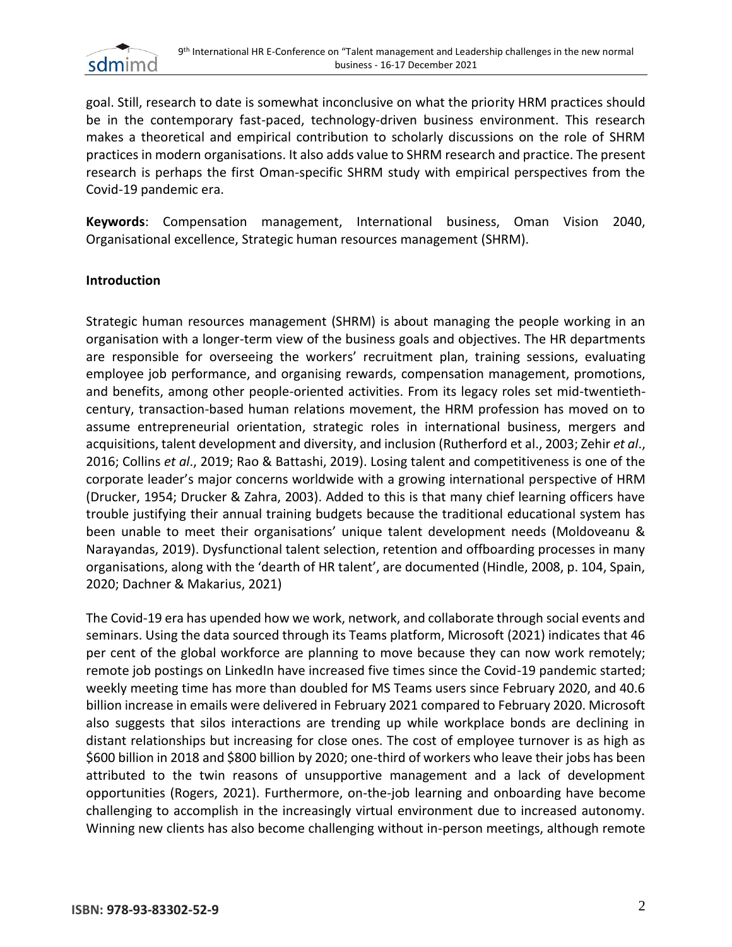

goal. Still, research to date is somewhat inconclusive on what the priority HRM practices should be in the contemporary fast-paced, technology-driven business environment. This research makes a theoretical and empirical contribution to scholarly discussions on the role of SHRM practices in modern organisations. It also adds value to SHRM research and practice. The present research is perhaps the first Oman-specific SHRM study with empirical perspectives from the Covid-19 pandemic era.

**Keywords**: Compensation management, International business, Oman Vision 2040, Organisational excellence, Strategic human resources management (SHRM).

#### **Introduction**

Strategic human resources management (SHRM) is about managing the people working in an organisation with a longer-term view of the business goals and objectives. The HR departments are responsible for overseeing the workers' recruitment plan, training sessions, evaluating employee job performance, and organising rewards, compensation management, promotions, and benefits, among other people-oriented activities. From its legacy roles set mid-twentiethcentury, transaction-based human relations movement, the HRM profession has moved on to assume entrepreneurial orientation, strategic roles in international business, mergers and acquisitions, talent development and diversity, and inclusion (Rutherford et al., 2003; Zehir *et al*., 2016; Collins *et al*., 2019; Rao & Battashi, 2019). Losing talent and competitiveness is one of the corporate leader's major concerns worldwide with a growing international perspective of HRM (Drucker, 1954; Drucker & Zahra, 2003). Added to this is that many chief learning officers have trouble justifying their annual training budgets because the traditional educational system has been unable to meet their organisations' unique talent development needs (Moldoveanu & Narayandas, 2019). Dysfunctional talent selection, retention and offboarding processes in many organisations, along with the 'dearth of HR talent', are documented (Hindle, 2008, p. 104, Spain, 2020; Dachner & Makarius, 2021)

The Covid-19 era has upended how we work, network, and collaborate through social events and seminars. Using the data sourced through its Teams platform, Microsoft (2021) indicates that 46 per cent of the global workforce are planning to move because they can now work remotely; remote job postings on LinkedIn have increased five times since the Covid-19 pandemic started; weekly meeting time has more than doubled for MS Teams users since February 2020, and 40.6 billion increase in emails were delivered in February 2021 compared to February 2020. Microsoft also suggests that silos interactions are trending up while workplace bonds are declining in distant relationships but increasing for close ones. The cost of employee turnover is as high as \$600 billion in 2018 and \$800 billion by 2020; one-third of workers who leave their jobs has been attributed to the twin reasons of unsupportive management and a lack of development opportunities (Rogers, 2021). Furthermore, on-the-job learning and onboarding have become challenging to accomplish in the increasingly virtual environment due to increased autonomy. Winning new clients has also become challenging without in-person meetings, although remote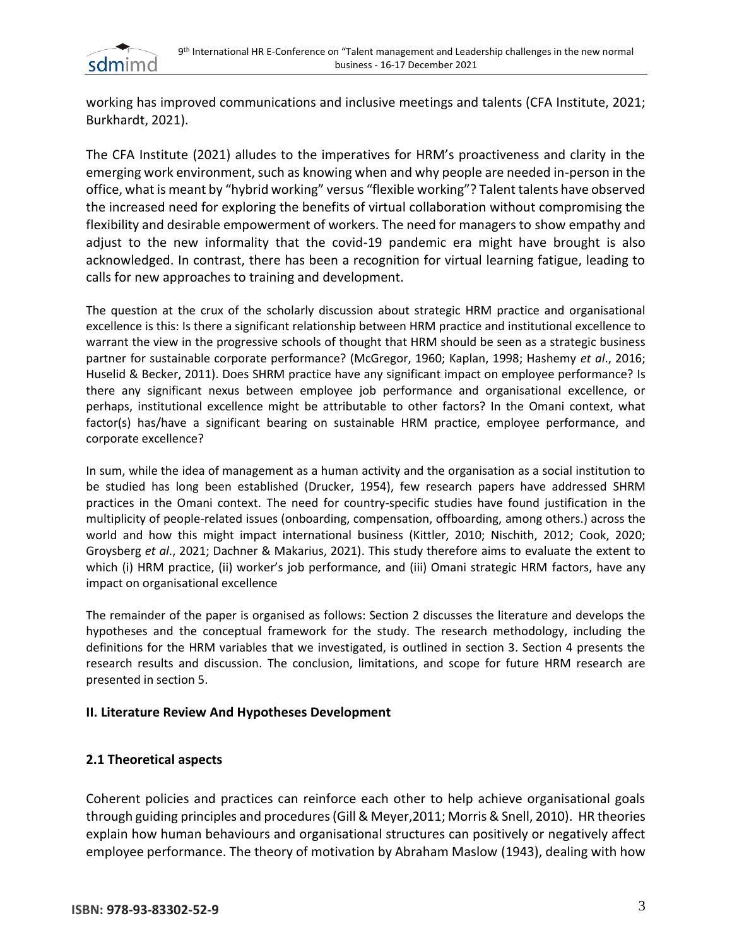

working has improved communications and inclusive meetings and talents (CFA Institute, 2021; Burkhardt, 2021).

The CFA Institute (2021) alludes to the imperatives for HRM's proactiveness and clarity in the emerging work environment, such as knowing when and why people are needed in-person in the office, what is meant by "hybrid working" versus "flexible working"? Talent talents have observed the increased need for exploring the benefits of virtual collaboration without compromising the flexibility and desirable empowerment of workers. The need for managers to show empathy and adjust to the new informality that the covid-19 pandemic era might have brought is also acknowledged. In contrast, there has been a recognition for virtual learning fatigue, leading to calls for new approaches to training and development.

The question at the crux of the scholarly discussion about strategic HRM practice and organisational excellence is this: Is there a significant relationship between HRM practice and institutional excellence to warrant the view in the progressive schools of thought that HRM should be seen as a strategic business partner for sustainable corporate performance? (McGregor, 1960; Kaplan, 1998; Hashemy *et al*., 2016; Huselid & Becker, 2011). Does SHRM practice have any significant impact on employee performance? Is there any significant nexus between employee job performance and organisational excellence, or perhaps, institutional excellence might be attributable to other factors? In the Omani context, what factor(s) has/have a significant bearing on sustainable HRM practice, employee performance, and corporate excellence?

In sum, while the idea of management as a human activity and the organisation as a social institution to be studied has long been established (Drucker, 1954), few research papers have addressed SHRM practices in the Omani context. The need for country-specific studies have found justification in the multiplicity of people-related issues (onboarding, compensation, offboarding, among others.) across the world and how this might impact international business (Kittler, 2010; Nischith, 2012; Cook, 2020; Groysberg *et al*., 2021; Dachner & Makarius, 2021). This study therefore aims to evaluate the extent to which (i) HRM practice, (ii) worker's job performance, and (iii) Omani strategic HRM factors, have any impact on organisational excellence

The remainder of the paper is organised as follows: Section 2 discusses the literature and develops the hypotheses and the conceptual framework for the study. The research methodology, including the definitions for the HRM variables that we investigated, is outlined in section 3. Section 4 presents the research results and discussion. The conclusion, limitations, and scope for future HRM research are presented in section 5.

#### **II. Literature Review And Hypotheses Development**

#### **2.1 Theoretical aspects**

Coherent policies and practices can reinforce each other to help achieve organisational goals through guiding principles and procedures (Gill & Meyer,2011; Morris & Snell, 2010). HR theories explain how human behaviours and organisational structures can positively or negatively affect employee performance. The theory of motivation by Abraham Maslow (1943), dealing with how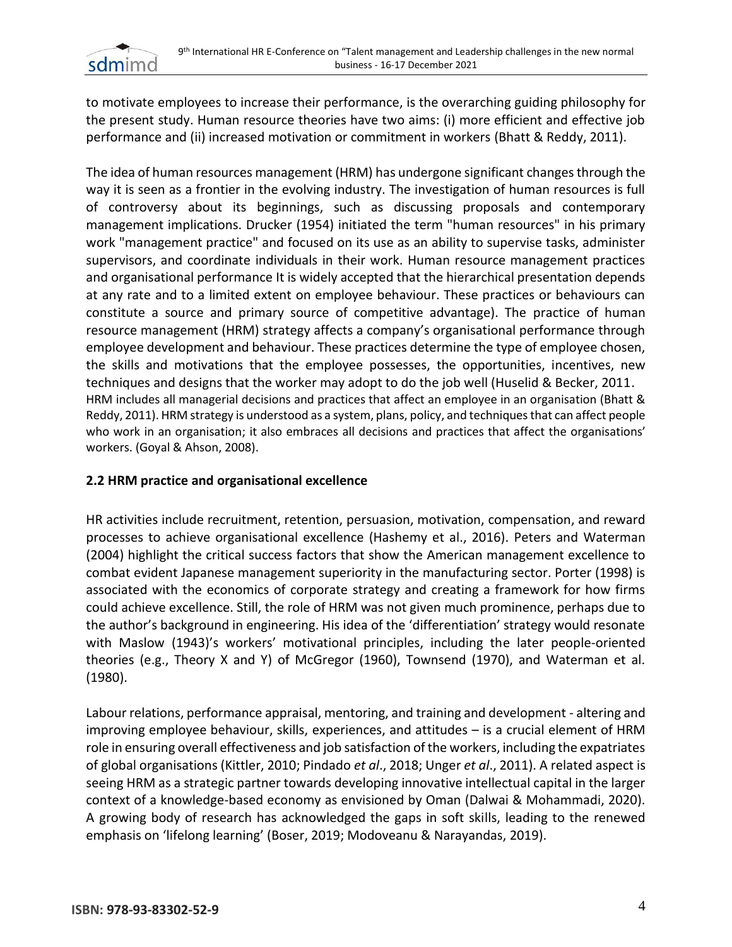

to motivate employees to increase their performance, is the overarching guiding philosophy for the present study. Human resource theories have two aims: (i) more efficient and effective job performance and (ii) increased motivation or commitment in workers (Bhatt & Reddy, 2011).

The idea of human resources management (HRM) has undergone significant changes through the way it is seen as a frontier in the evolving industry. The investigation of human resources is full of controversy about its beginnings, such as discussing proposals and contemporary management implications. Drucker (1954) initiated the term "human resources" in his primary work "management practice" and focused on its use as an ability to supervise tasks, administer supervisors, and coordinate individuals in their work. Human resource management practices and organisational performance It is widely accepted that the hierarchical presentation depends at any rate and to a limited extent on employee behaviour. These practices or behaviours can constitute a source and primary source of competitive advantage). The practice of human resource management (HRM) strategy affects a company's organisational performance through employee development and behaviour. These practices determine the type of employee chosen, the skills and motivations that the employee possesses, the opportunities, incentives, new techniques and designs that the worker may adopt to do the job well (Huselid & Becker, 2011. HRM includes all managerial decisions and practices that affect an employee in an organisation (Bhatt & Reddy, 2011). HRM strategy is understood as a system, plans, policy, and techniquesthat can affect people who work in an organisation; it also embraces all decisions and practices that affect the organisations' workers. (Goyal & Ahson, 2008).

# **2.2 HRM practice and organisational excellence**

HR activities include recruitment, retention, persuasion, motivation, compensation, and reward processes to achieve organisational excellence (Hashemy et al., 2016). Peters and Waterman (2004) highlight the critical success factors that show the American management excellence to combat evident Japanese management superiority in the manufacturing sector. Porter (1998) is associated with the economics of corporate strategy and creating a framework for how firms could achieve excellence. Still, the role of HRM was not given much prominence, perhaps due to the author's background in engineering. His idea of the 'differentiation' strategy would resonate with Maslow (1943)'s workers' motivational principles, including the later people-oriented theories (e.g., Theory X and Y) of McGregor (1960), Townsend (1970), and Waterman et al. (1980).

Labour relations, performance appraisal, mentoring, and training and development - altering and improving employee behaviour, skills, experiences, and attitudes – is a crucial element of HRM role in ensuring overall effectiveness and job satisfaction of the workers, including the expatriates of global organisations (Kittler, 2010; Pindado *et al*., 2018; Unger *et al*., 2011). A related aspect is seeing HRM as a strategic partner towards developing innovative intellectual capital in the larger context of a knowledge-based economy as envisioned by Oman (Dalwai & Mohammadi, 2020). A growing body of research has acknowledged the gaps in soft skills, leading to the renewed emphasis on 'lifelong learning' (Boser, 2019; Modoveanu & Narayandas, 2019).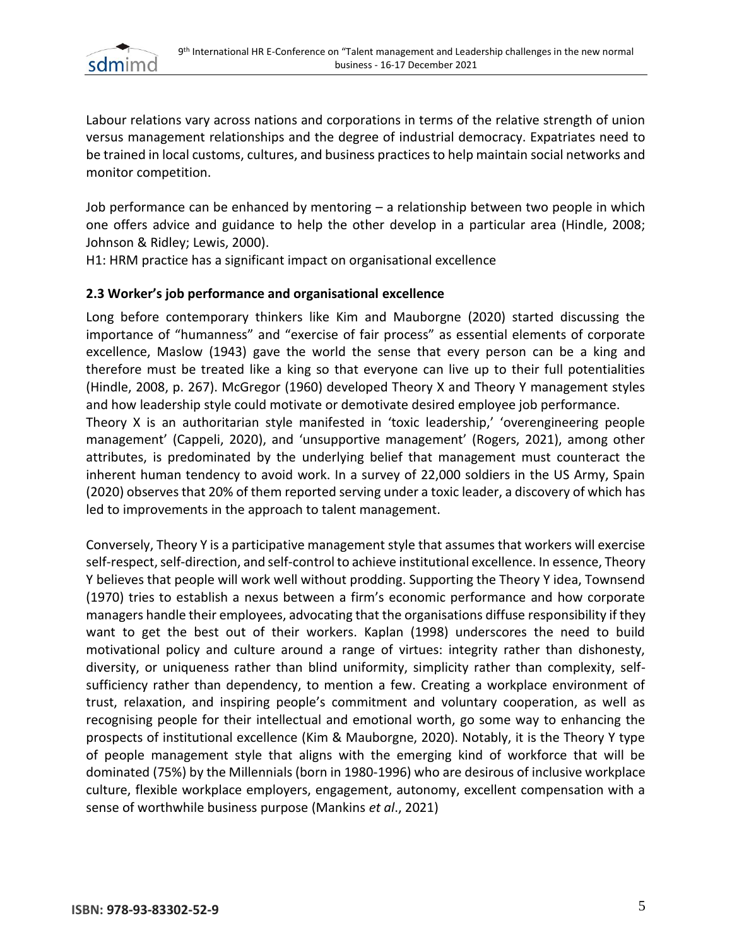

Labour relations vary across nations and corporations in terms of the relative strength of union versus management relationships and the degree of industrial democracy. Expatriates need to be trained in local customs, cultures, and business practices to help maintain social networks and monitor competition.

Job performance can be enhanced by mentoring – a relationship between two people in which one offers advice and guidance to help the other develop in a particular area (Hindle, 2008; Johnson & Ridley; Lewis, 2000).

H1: HRM practice has a significant impact on organisational excellence

## **2.3 Worker's job performance and organisational excellence**

Long before contemporary thinkers like Kim and Mauborgne (2020) started discussing the importance of "humanness" and "exercise of fair process" as essential elements of corporate excellence, Maslow (1943) gave the world the sense that every person can be a king and therefore must be treated like a king so that everyone can live up to their full potentialities (Hindle, 2008, p. 267). McGregor (1960) developed Theory X and Theory Y management styles and how leadership style could motivate or demotivate desired employee job performance.

Theory X is an authoritarian style manifested in 'toxic leadership,' 'overengineering people management' (Cappeli, 2020), and 'unsupportive management' (Rogers, 2021), among other attributes, is predominated by the underlying belief that management must counteract the inherent human tendency to avoid work. In a survey of 22,000 soldiers in the US Army, Spain (2020) observes that 20% of them reported serving under a toxic leader, a discovery of which has led to improvements in the approach to talent management.

Conversely, Theory Y is a participative management style that assumes that workers will exercise self-respect, self-direction, and self-control to achieve institutional excellence. In essence, Theory Y believes that people will work well without prodding. Supporting the Theory Y idea, Townsend (1970) tries to establish a nexus between a firm's economic performance and how corporate managers handle their employees, advocating that the organisations diffuse responsibility if they want to get the best out of their workers. Kaplan (1998) underscores the need to build motivational policy and culture around a range of virtues: integrity rather than dishonesty, diversity, or uniqueness rather than blind uniformity, simplicity rather than complexity, selfsufficiency rather than dependency, to mention a few. Creating a workplace environment of trust, relaxation, and inspiring people's commitment and voluntary cooperation, as well as recognising people for their intellectual and emotional worth, go some way to enhancing the prospects of institutional excellence (Kim & Mauborgne, 2020). Notably, it is the Theory Y type of people management style that aligns with the emerging kind of workforce that will be dominated (75%) by the Millennials (born in 1980-1996) who are desirous of inclusive workplace culture, flexible workplace employers, engagement, autonomy, excellent compensation with a sense of worthwhile business purpose (Mankins *et al*., 2021)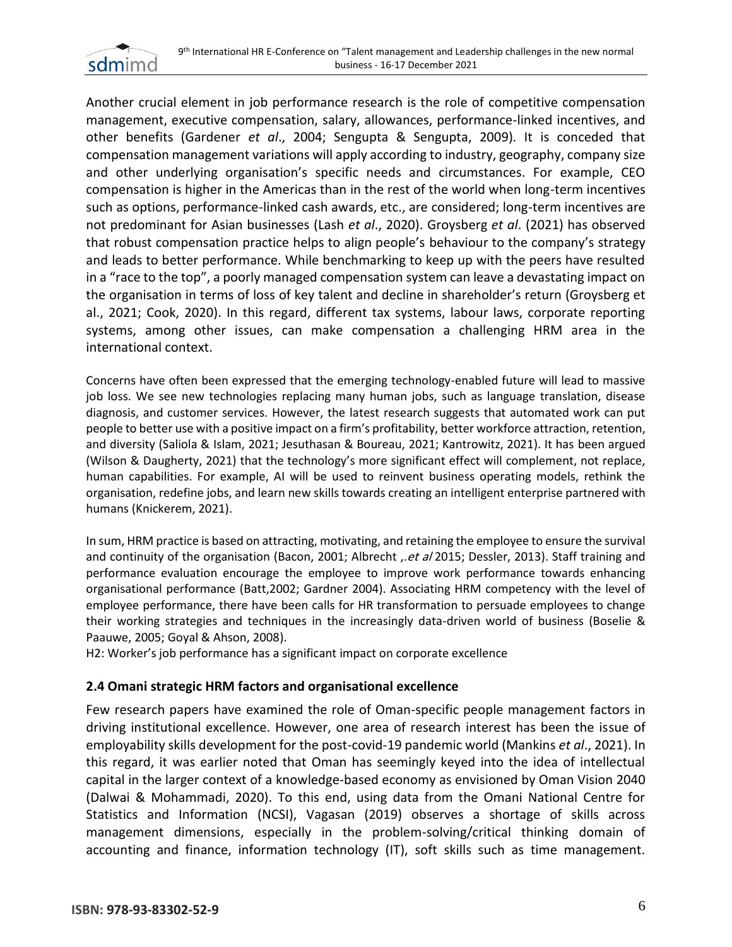

Another crucial element in job performance research is the role of competitive compensation management, executive compensation, salary, allowances, performance-linked incentives, and other benefits (Gardener *et al*., 2004; Sengupta & Sengupta, 2009). It is conceded that compensation management variations will apply according to industry, geography, company size and other underlying organisation's specific needs and circumstances. For example, CEO compensation is higher in the Americas than in the rest of the world when long-term incentives such as options, performance-linked cash awards, etc., are considered; long-term incentives are not predominant for Asian businesses (Lash *et al*., 2020). Groysberg *et al*. (2021) has observed that robust compensation practice helps to align people's behaviour to the company's strategy and leads to better performance. While benchmarking to keep up with the peers have resulted in a "race to the top", a poorly managed compensation system can leave a devastating impact on the organisation in terms of loss of key talent and decline in shareholder's return (Groysberg et al., 2021; Cook, 2020). In this regard, different tax systems, labour laws, corporate reporting systems, among other issues, can make compensation a challenging HRM area in the international context.

Concerns have often been expressed that the emerging technology-enabled future will lead to massive job loss. We see new technologies replacing many human jobs, such as language translation, disease diagnosis, and customer services. However, the latest research suggests that automated work can put people to better use with a positive impact on a firm's profitability, better workforce attraction, retention, and diversity (Saliola & Islam, 2021; Jesuthasan & Boureau, 2021; Kantrowitz, 2021). It has been argued (Wilson & Daugherty, 2021) that the technology's more significant effect will complement, not replace, human capabilities. For example, AI will be used to reinvent business operating models, rethink the organisation, redefine jobs, and learn new skills towards creating an intelligent enterprise partnered with humans (Knickerem, 2021).

In sum, HRM practice is based on attracting, motivating, and retaining the employee to ensure the survival and continuity of the organisation (Bacon, 2001; Albrecht , et al 2015; Dessler, 2013). Staff training and performance evaluation encourage the employee to improve work performance towards enhancing organisational performance (Batt,2002; Gardner 2004). Associating HRM competency with the level of employee performance, there have been calls for HR transformation to persuade employees to change their working strategies and techniques in the increasingly data-driven world of business (Boselie & Paauwe, 2005; Goyal & Ahson, 2008).

H2: Worker's job performance has a significant impact on corporate excellence

#### **2.4 Omani strategic HRM factors and organisational excellence**

Few research papers have examined the role of Oman-specific people management factors in driving institutional excellence. However, one area of research interest has been the issue of employability skills development for the post-covid-19 pandemic world (Mankins *et al*., 2021). In this regard, it was earlier noted that Oman has seemingly keyed into the idea of intellectual capital in the larger context of a knowledge-based economy as envisioned by Oman Vision 2040 (Dalwai & Mohammadi, 2020). To this end, using data from the Omani National Centre for Statistics and Information (NCSI), Vagasan (2019) observes a shortage of skills across management dimensions, especially in the problem-solving/critical thinking domain of accounting and finance, information technology (IT), soft skills such as time management.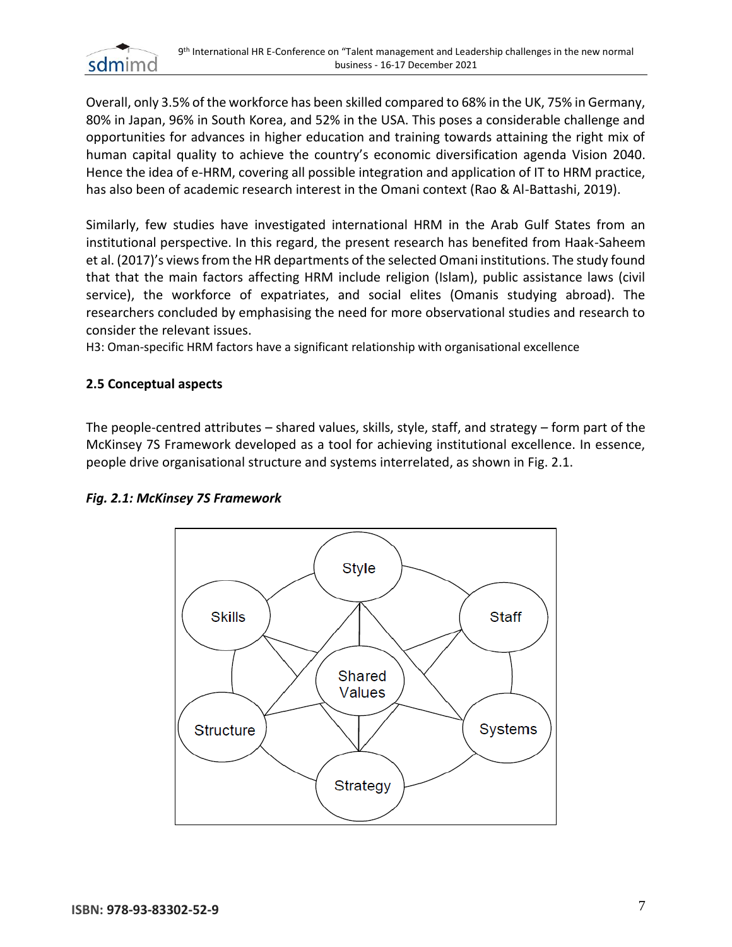

Overall, only 3.5% of the workforce has been skilled compared to 68% in the UK, 75% in Germany, 80% in Japan, 96% in South Korea, and 52% in the USA. This poses a considerable challenge and opportunities for advances in higher education and training towards attaining the right mix of human capital quality to achieve the country's economic diversification agenda Vision 2040. Hence the idea of e-HRM, covering all possible integration and application of IT to HRM practice, has also been of academic research interest in the Omani context (Rao & Al-Battashi, 2019).

Similarly, few studies have investigated international HRM in the Arab Gulf States from an institutional perspective. In this regard, the present research has benefited from Haak-Saheem et al. (2017)'s views from the HR departments of the selected Omani institutions. The study found that that the main factors affecting HRM include religion (Islam), public assistance laws (civil service), the workforce of expatriates, and social elites (Omanis studying abroad). The researchers concluded by emphasising the need for more observational studies and research to consider the relevant issues.

H3: Oman-specific HRM factors have a significant relationship with organisational excellence

## **2.5 Conceptual aspects**

The people-centred attributes – shared values, skills, style, staff, and strategy – form part of the McKinsey 7S Framework developed as a tool for achieving institutional excellence. In essence, people drive organisational structure and systems interrelated, as shown in Fig. 2.1.



#### *Fig. 2.1: McKinsey 7S Framework*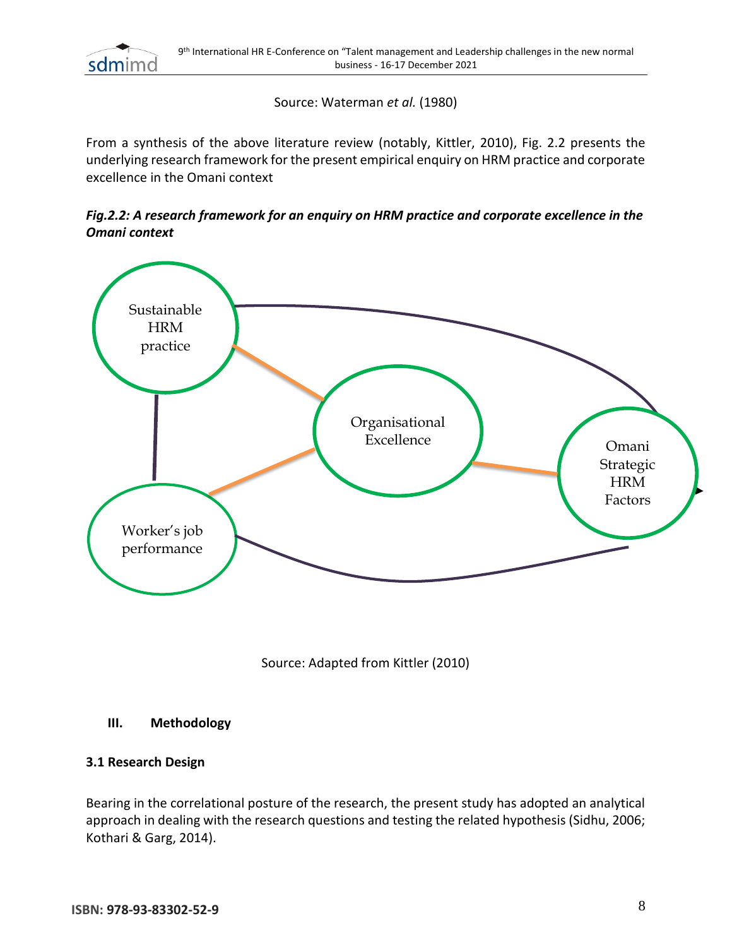

Source: Waterman *et al.* (1980)

From a synthesis of the above literature review (notably, Kittler, 2010), Fig. 2.2 presents the underlying research framework for the present empirical enquiry on HRM practice and corporate excellence in the Omani context

*Fig.2.2: A research framework for an enquiry on HRM practice and corporate excellence in the Omani context*



Source: Adapted from Kittler (2010)

#### **III. Methodology**

#### **3.1 Research Design**

Bearing in the correlational posture of the research, the present study has adopted an analytical approach in dealing with the research questions and testing the related hypothesis (Sidhu, 2006; Kothari & Garg, 2014).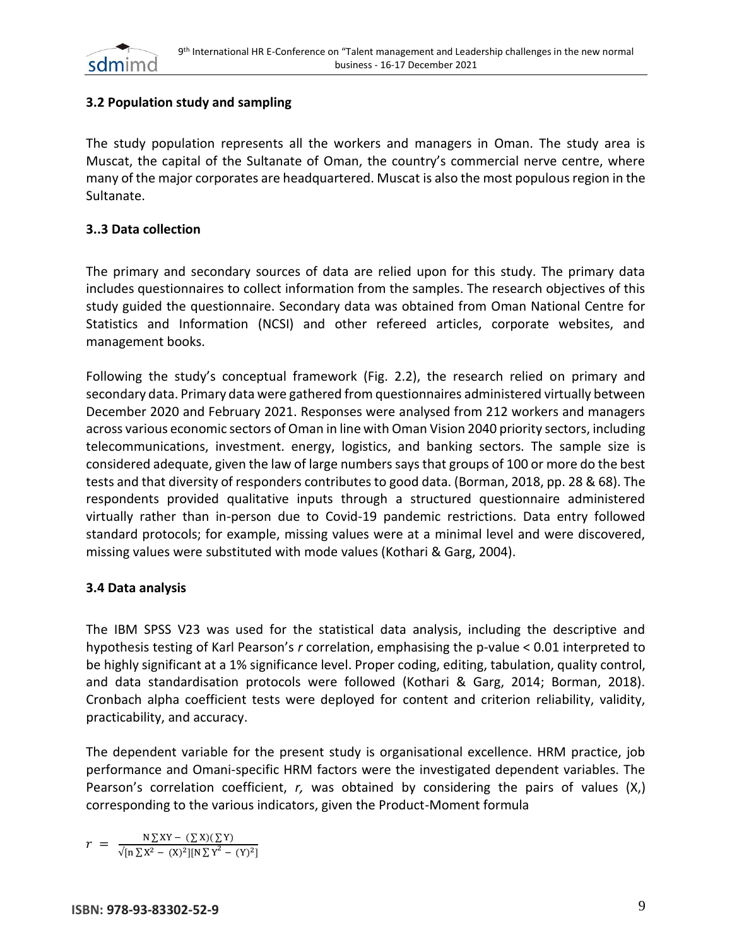

# **3.2 Population study and sampling**

The study population represents all the workers and managers in Oman. The study area is Muscat, the capital of the Sultanate of Oman, the country's commercial nerve centre, where many of the major corporates are headquartered. Muscat is also the most populous region in the Sultanate.

#### **3..3 Data collection**

The primary and secondary sources of data are relied upon for this study. The primary data includes questionnaires to collect information from the samples. The research objectives of this study guided the questionnaire. Secondary data was obtained from Oman National Centre for Statistics and Information (NCSI) and other refereed articles, corporate websites, and management books.

Following the study's conceptual framework (Fig. 2.2), the research relied on primary and secondary data. Primary data were gathered from questionnaires administered virtually between December 2020 and February 2021. Responses were analysed from 212 workers and managers across various economic sectors of Oman in line with Oman Vision 2040 priority sectors, including telecommunications, investment. energy, logistics, and banking sectors. The sample size is considered adequate, given the law of large numbers says that groups of 100 or more do the best tests and that diversity of responders contributes to good data. (Borman, 2018, pp. 28 & 68). The respondents provided qualitative inputs through a structured questionnaire administered virtually rather than in-person due to Covid-19 pandemic restrictions. Data entry followed standard protocols; for example, missing values were at a minimal level and were discovered, missing values were substituted with mode values (Kothari & Garg, 2004).

#### **3.4 Data analysis**

The IBM SPSS V23 was used for the statistical data analysis, including the descriptive and hypothesis testing of Karl Pearson's *r* correlation, emphasising the p-value < 0.01 interpreted to be highly significant at a 1% significance level. Proper coding, editing, tabulation, quality control, and data standardisation protocols were followed (Kothari & Garg, 2014; Borman, 2018). Cronbach alpha coefficient tests were deployed for content and criterion reliability, validity, practicability, and accuracy.

The dependent variable for the present study is organisational excellence. HRM practice, job performance and Omani-specific HRM factors were the investigated dependent variables. The Pearson's correlation coefficient, *r,* was obtained by considering the pairs of values (X,) corresponding to the various indicators, given the Product-Moment formula

$$
r = \frac{N \sum XY - (\sum X)(\sum Y)}{\sqrt{[n \sum X^2 - (X)^2][N \sum Y^2 - (Y)^2]}}
$$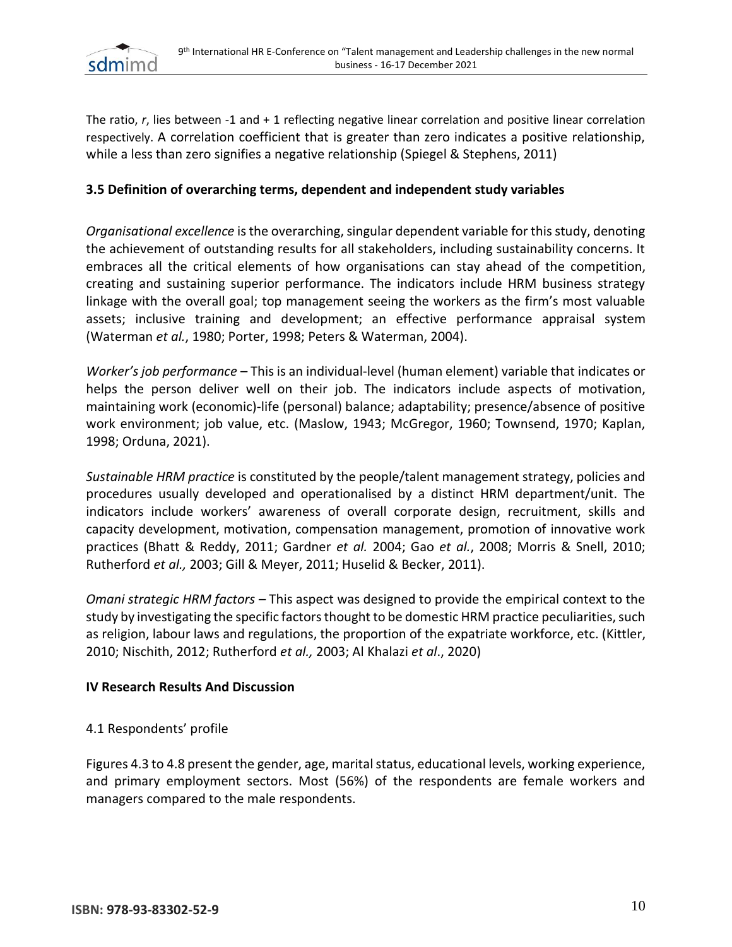

The ratio, *r*, lies between -1 and + 1 reflecting negative linear correlation and positive linear correlation respectively. A correlation coefficient that is greater than zero indicates a positive relationship, while a less than zero signifies a negative relationship (Spiegel & Stephens, 2011)

#### **3.5 Definition of overarching terms, dependent and independent study variables**

*Organisational excellence* is the overarching, singular dependent variable for this study, denoting the achievement of outstanding results for all stakeholders, including sustainability concerns. It embraces all the critical elements of how organisations can stay ahead of the competition, creating and sustaining superior performance. The indicators include HRM business strategy linkage with the overall goal; top management seeing the workers as the firm's most valuable assets; inclusive training and development; an effective performance appraisal system (Waterman *et al.*, 1980; Porter, 1998; Peters & Waterman, 2004).

*Worker's job performance* – This is an individual-level (human element) variable that indicates or helps the person deliver well on their job. The indicators include aspects of motivation, maintaining work (economic)-life (personal) balance; adaptability; presence/absence of positive work environment; job value, etc. (Maslow, 1943; McGregor, 1960; Townsend, 1970; Kaplan, 1998; Orduna, 2021).

*Sustainable HRM practice* is constituted by the people/talent management strategy, policies and procedures usually developed and operationalised by a distinct HRM department/unit. The indicators include workers' awareness of overall corporate design, recruitment, skills and capacity development, motivation, compensation management, promotion of innovative work practices (Bhatt & Reddy, 2011; Gardner *et al.* 2004; Gao *et al.*, 2008; Morris & Snell, 2010; Rutherford *et al.,* 2003; Gill & Meyer, 2011; Huselid & Becker, 2011).

*Omani strategic HRM factors –* This aspect was designed to provide the empirical context to the study by investigating the specific factors thought to be domestic HRM practice peculiarities, such as religion, labour laws and regulations, the proportion of the expatriate workforce, etc. (Kittler, 2010; Nischith, 2012; Rutherford *et al.,* 2003; Al Khalazi *et al*., 2020)

#### **IV Research Results And Discussion**

#### 4.1 Respondents' profile

Figures 4.3 to 4.8 present the gender, age, marital status, educational levels, working experience, and primary employment sectors. Most (56%) of the respondents are female workers and managers compared to the male respondents.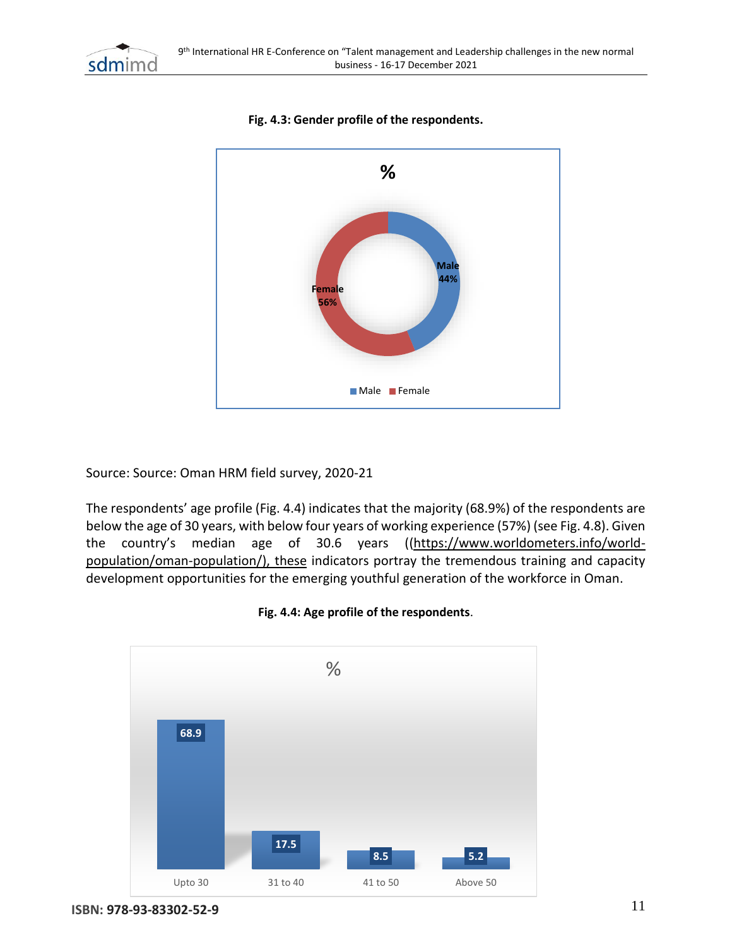



### **Fig. 4.3: Gender profile of the respondents.**

Source: Source: Oman HRM field survey, 2020-21

The respondents' age profile (Fig. 4.4) indicates that the majority (68.9%) of the respondents are below the age of 30 years, with below four years of working experience (57%) (see Fig. 4.8). Given the country's median age of 30.6 years ([\(https://www.worldometers.info/world](https://www.worldometers.info/world-population/oman-population/)[population/oman-population/\)](https://www.worldometers.info/world-population/oman-population/), these indicators portray the tremendous training and capacity development opportunities for the emerging youthful generation of the workforce in Oman.



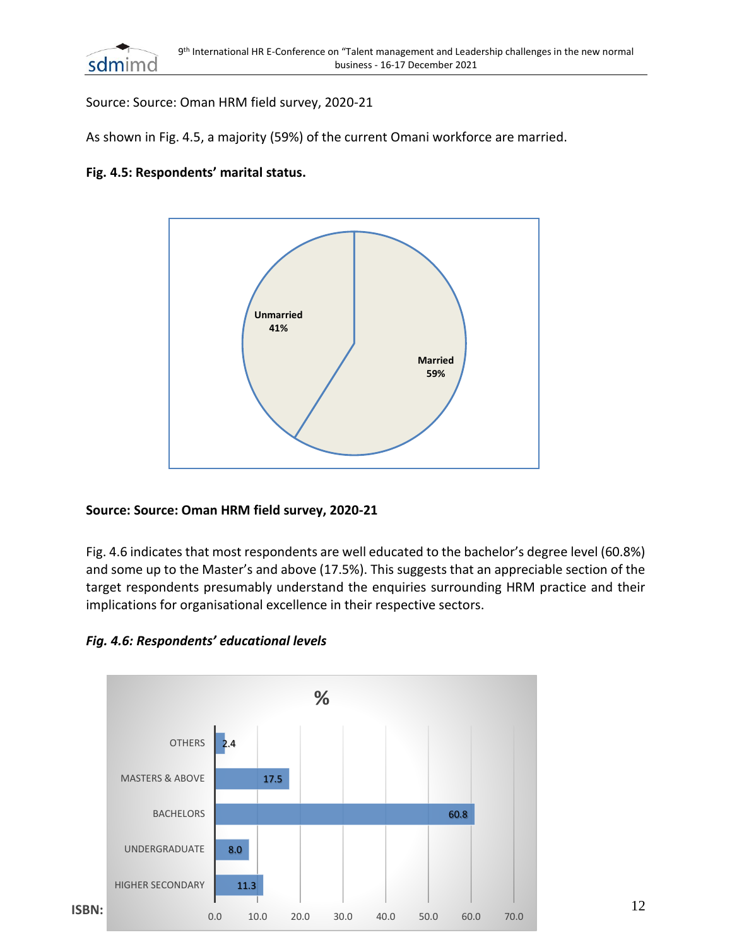

Source: Source: Oman HRM field survey, 2020-21

As shown in Fig. 4.5, a majority (59%) of the current Omani workforce are married.

#### **Fig. 4.5: Respondents' marital status.**



#### **Source: Source: Oman HRM field survey, 2020-21**

Fig. 4.6 indicates that most respondents are well educated to the bachelor's degree level (60.8%) and some up to the Master's and above (17.5%). This suggests that an appreciable section of the target respondents presumably understand the enquiries surrounding HRM practice and their implications for organisational excellence in their respective sectors.

*Fig. 4.6: Respondents' educational levels*

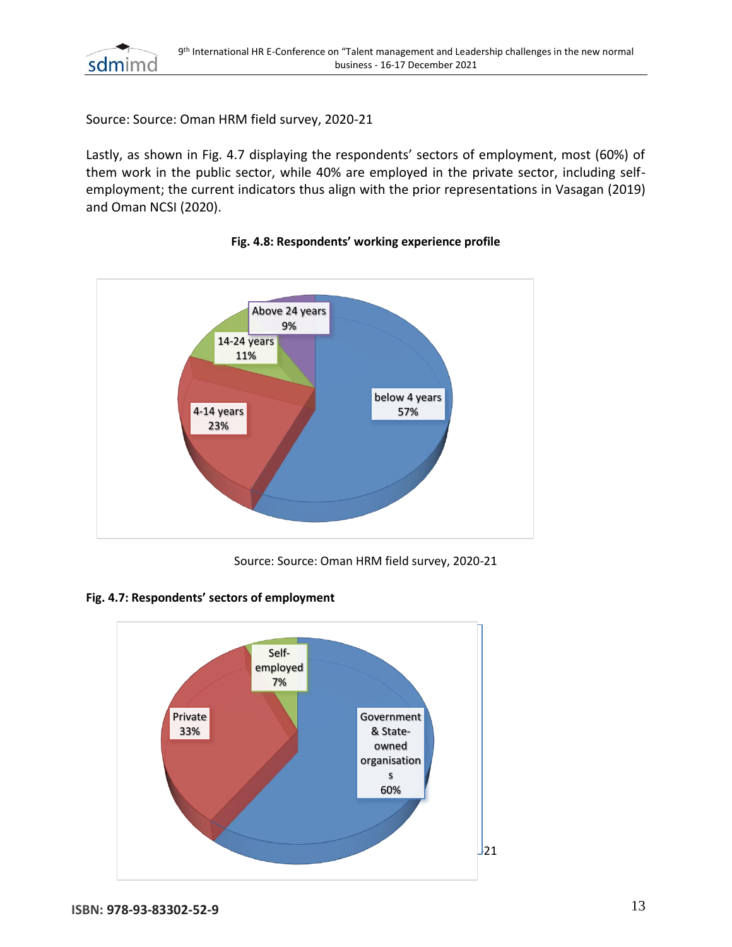

Source: Source: Oman HRM field survey, 2020-21

Lastly, as shown in Fig. 4.7 displaying the respondents' sectors of employment, most (60%) of them work in the public sector, while 40% are employed in the private sector, including selfemployment; the current indicators thus align with the prior representations in Vasagan (2019) and Oman NCSI (2020).



#### **Fig. 4.8: Respondents' working experience profile**

Source: Source: Oman HRM field survey, 2020-21



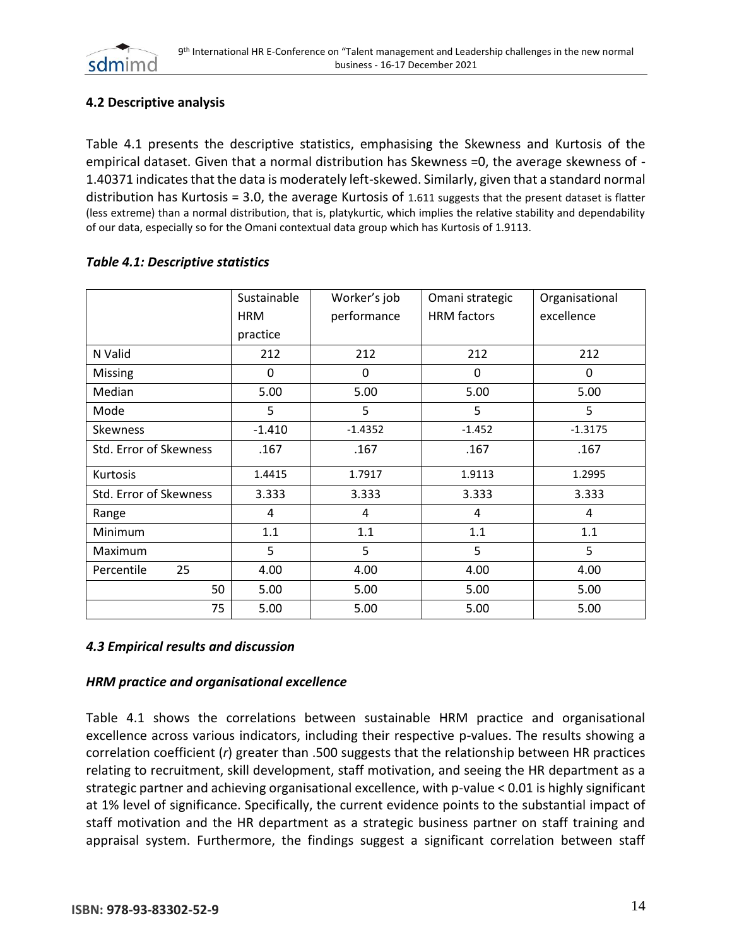

# **4.2 Descriptive analysis**

Table 4.1 presents the descriptive statistics, emphasising the Skewness and Kurtosis of the empirical dataset. Given that a normal distribution has Skewness =0, the average skewness of - 1.40371 indicates that the data is moderately left-skewed. Similarly, given that a standard normal distribution has Kurtosis = 3.0, the average Kurtosis of 1.611 suggests that the present dataset is flatter (less extreme) than a normal distribution, that is, platykurtic, which implies the relative stability and dependability of our data, especially so for the Omani contextual data group which has Kurtosis of 1.9113.

|                        | Sustainable | Worker's job | Omani strategic    | Organisational |  |
|------------------------|-------------|--------------|--------------------|----------------|--|
|                        | <b>HRM</b>  | performance  | <b>HRM</b> factors | excellence     |  |
|                        | practice    |              |                    |                |  |
| N Valid                | 212         | 212          | 212                | 212            |  |
| <b>Missing</b>         | 0           | 0            | 0                  | 0              |  |
| Median                 | 5.00        | 5.00         | 5.00               | 5.00           |  |
| Mode                   | 5           | 5            | 5                  | 5              |  |
| <b>Skewness</b>        | $-1.410$    | $-1.4352$    | $-1.452$           | $-1.3175$      |  |
| Std. Error of Skewness | .167        | .167         | .167               | .167           |  |
| Kurtosis               | 1.4415      | 1.7917       | 1.9113             | 1.2995         |  |
| Std. Error of Skewness | 3.333       | 3.333        | 3.333              | 3.333          |  |
| Range                  | 4           | 4            | 4                  | 4              |  |
| <b>Minimum</b>         | 1.1         | 1.1          | 1.1                | 1.1            |  |
| Maximum                | 5           | 5            | 5                  | 5              |  |
| Percentile<br>25       | 4.00        | 4.00         | 4.00               | 4.00           |  |
| 50                     | 5.00        | 5.00         | 5.00               | 5.00           |  |
| 75                     | 5.00        | 5.00         | 5.00               | 5.00           |  |

#### *Table 4.1: Descriptive statistics*

#### *4.3 Empirical results and discussion*

#### *HRM practice and organisational excellence*

Table 4.1 shows the correlations between sustainable HRM practice and organisational excellence across various indicators, including their respective p-values. The results showing a correlation coefficient (*r*) greater than .500 suggests that the relationship between HR practices relating to recruitment, skill development, staff motivation, and seeing the HR department as a strategic partner and achieving organisational excellence, with p-value < 0.01 is highly significant at 1% level of significance. Specifically, the current evidence points to the substantial impact of staff motivation and the HR department as a strategic business partner on staff training and appraisal system. Furthermore, the findings suggest a significant correlation between staff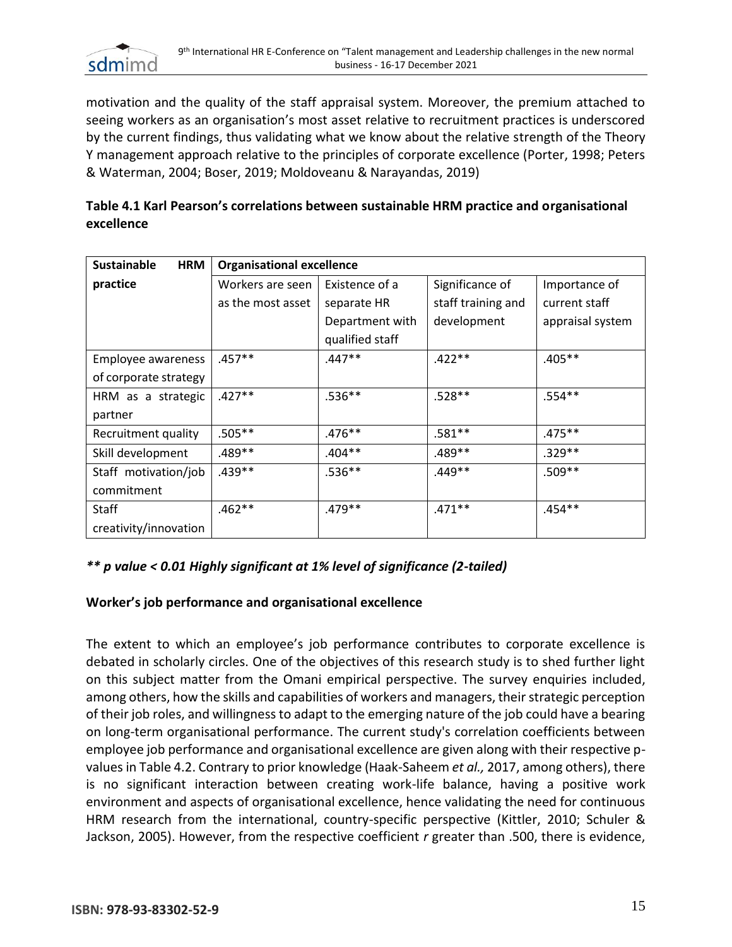

motivation and the quality of the staff appraisal system. Moreover, the premium attached to seeing workers as an organisation's most asset relative to recruitment practices is underscored by the current findings, thus validating what we know about the relative strength of the Theory Y management approach relative to the principles of corporate excellence (Porter, 1998; Peters & Waterman, 2004; Boser, 2019; Moldoveanu & Narayandas, 2019)

| Table 4.1 Karl Pearson's correlations between sustainable HRM practice and organisational |  |
|-------------------------------------------------------------------------------------------|--|
| excellence                                                                                |  |

| Sustainable<br><b>HRM</b> | <b>Organisational excellence</b> |                 |                    |                  |
|---------------------------|----------------------------------|-----------------|--------------------|------------------|
| practice                  | Workers are seen                 | Existence of a  | Significance of    | Importance of    |
|                           | as the most asset                | separate HR     | staff training and | current staff    |
|                           |                                  | Department with | development        | appraisal system |
|                           |                                  | qualified staff |                    |                  |
| Employee awareness        | $.457**$                         | $.447**$        | $.422**$           | $.405**$         |
| of corporate strategy     |                                  |                 |                    |                  |
| HRM as a strategic        | $.427**$                         | $.536**$        | $.528**$           | $.554**$         |
| partner                   |                                  |                 |                    |                  |
| Recruitment quality       | $.505**$                         | $.476***$       | $.581**$           | $.475***$        |
| Skill development         | .489**                           | $.404**$        | $.489**$           | $.329**$         |
| Staff motivation/job      | .439 **                          | $.536**$        | $.449**$           | $.509**$         |
| commitment                |                                  |                 |                    |                  |
| <b>Staff</b>              | $.462**$                         | .479**          | $.471***$          | .454**           |
| creativity/innovation     |                                  |                 |                    |                  |

# *\*\* p value < 0.01 Highly significant at 1% level of significance (2-tailed)*

# **Worker's job performance and organisational excellence**

The extent to which an employee's job performance contributes to corporate excellence is debated in scholarly circles. One of the objectives of this research study is to shed further light on this subject matter from the Omani empirical perspective. The survey enquiries included, among others, how the skills and capabilities of workers and managers, their strategic perception of their job roles, and willingness to adapt to the emerging nature of the job could have a bearing on long-term organisational performance. The current study's correlation coefficients between employee job performance and organisational excellence are given along with their respective pvalues in Table 4.2. Contrary to prior knowledge (Haak-Saheem *et al.,* 2017, among others), there is no significant interaction between creating work-life balance, having a positive work environment and aspects of organisational excellence, hence validating the need for continuous HRM research from the international, country-specific perspective (Kittler, 2010; Schuler & Jackson, 2005). However, from the respective coefficient *r* greater than .500, there is evidence,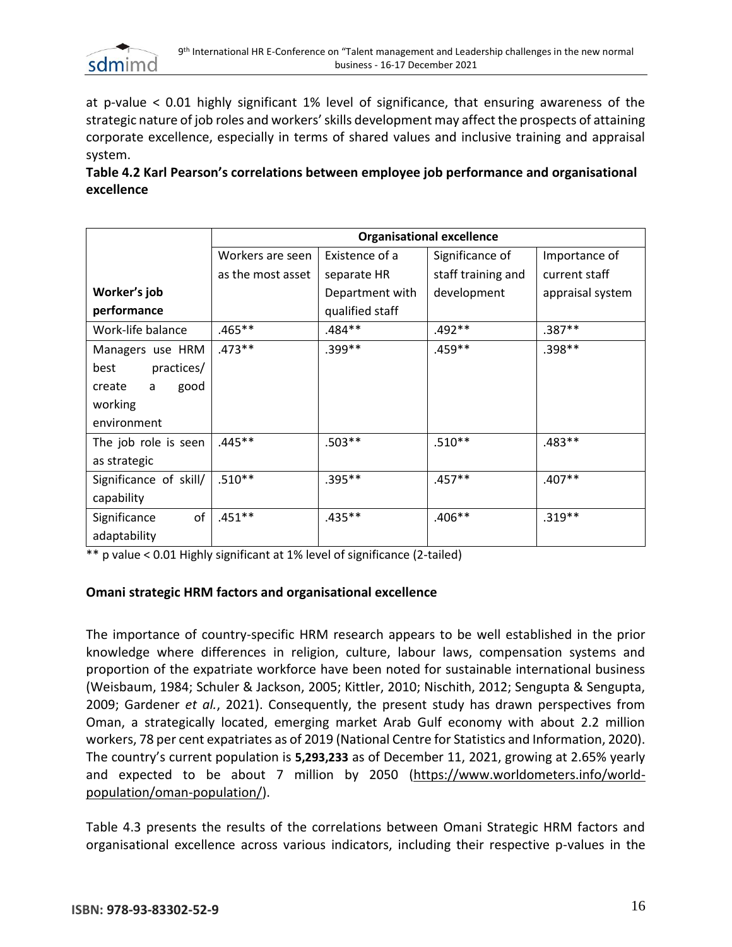

at p-value < 0.01 highly significant 1% level of significance, that ensuring awareness of the strategic nature of job roles and workers' skills development may affect the prospects of attaining corporate excellence, especially in terms of shared values and inclusive training and appraisal system.

**Table 4.2 Karl Pearson's correlations between employee job performance and organisational excellence**

|                        | <b>Organisational excellence</b> |                 |                    |                  |  |
|------------------------|----------------------------------|-----------------|--------------------|------------------|--|
|                        | Workers are seen                 | Existence of a  | Significance of    | Importance of    |  |
|                        | as the most asset                | separate HR     | staff training and | current staff    |  |
| Worker's job           |                                  | Department with | development        | appraisal system |  |
| performance            |                                  | qualified staff |                    |                  |  |
| Work-life balance      | $.465**$                         | .484**          | $.492**$           | $.387**$         |  |
| Managers use HRM       | $.473**$                         | .399**          | .459**             | .398**           |  |
| practices/<br>best     |                                  |                 |                    |                  |  |
| good<br>create<br>a    |                                  |                 |                    |                  |  |
| working                |                                  |                 |                    |                  |  |
| environment            |                                  |                 |                    |                  |  |
| The job role is seen   | $.445**$                         | $.503**$        | $.510**$           | $.483**$         |  |
| as strategic           |                                  |                 |                    |                  |  |
| Significance of skill/ | $.510**$                         | $.395***$       | $.457**$           | $.407**$         |  |
| capability             |                                  |                 |                    |                  |  |
| of<br>Significance     | $.451**$                         | $.435**$        | $.406**$           | $.319**$         |  |
| adaptability           |                                  |                 |                    |                  |  |

 $**$  p value < 0.01 Highly significant at 1% level of significance (2-tailed)

#### **Omani strategic HRM factors and organisational excellence**

The importance of country-specific HRM research appears to be well established in the prior knowledge where differences in religion, culture, labour laws, compensation systems and proportion of the expatriate workforce have been noted for sustainable international business (Weisbaum, 1984; Schuler & Jackson, 2005; Kittler, 2010; Nischith, 2012; Sengupta & Sengupta, 2009; Gardener *et al.*, 2021). Consequently, the present study has drawn perspectives from Oman, a strategically located, emerging market Arab Gulf economy with about 2.2 million workers, 78 per cent expatriates as of 2019 (National Centre for Statistics and Information, 2020). The country's current population is **5,293,233** as of December 11, 2021, growing at 2.65% yearly and expected to be about 7 million by 2050 [\(https://www.worldometers.info/world](https://www.worldometers.info/world-population/oman-population/)[population/oman-population/\)](https://www.worldometers.info/world-population/oman-population/).

Table 4.3 presents the results of the correlations between Omani Strategic HRM factors and organisational excellence across various indicators, including their respective p-values in the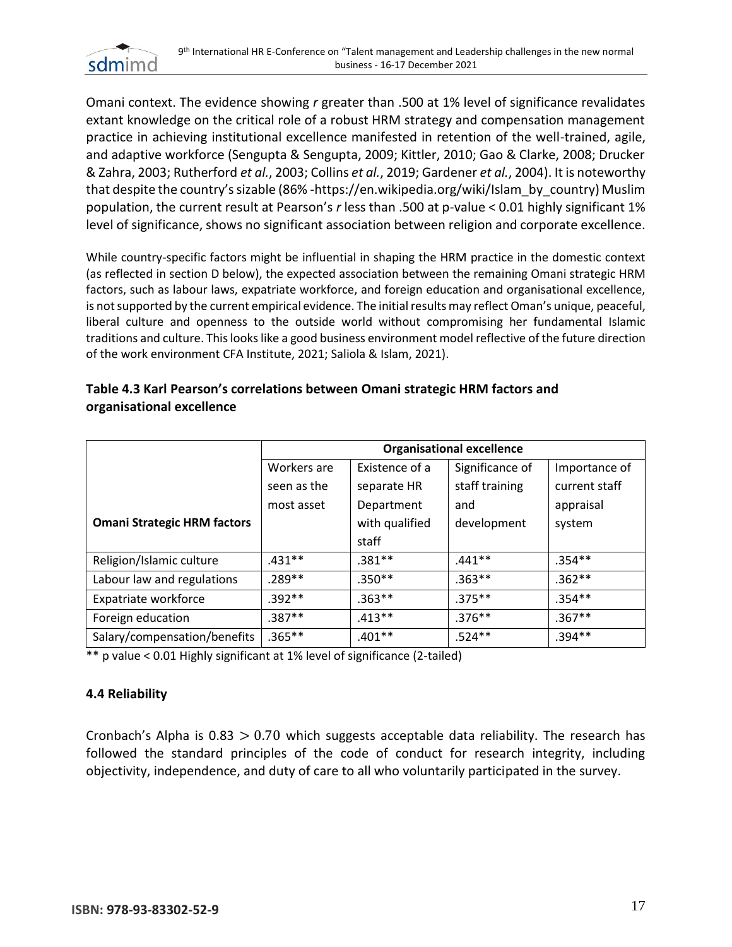

Omani context. The evidence showing *r* greater than .500 at 1% level of significance revalidates extant knowledge on the critical role of a robust HRM strategy and compensation management practice in achieving institutional excellence manifested in retention of the well-trained, agile, and adaptive workforce (Sengupta & Sengupta, 2009; Kittler, 2010; Gao & Clarke, 2008; Drucker & Zahra, 2003; Rutherford *et al.*, 2003; Collins *et al.*, 2019; Gardener *et al.*, 2004). It is noteworthy that despite the country's sizable (86% -https://en.wikipedia.org/wiki/Islam\_by\_country) Muslim population, the current result at Pearson's *r* less than .500 at p-value < 0.01 highly significant 1% level of significance, shows no significant association between religion and corporate excellence.

While country-specific factors might be influential in shaping the HRM practice in the domestic context (as reflected in section D below), the expected association between the remaining Omani strategic HRM factors, such as labour laws, expatriate workforce, and foreign education and organisational excellence, is not supported by the current empirical evidence. The initial results may reflect Oman's unique, peaceful, liberal culture and openness to the outside world without compromising her fundamental Islamic traditions and culture. This looks like a good business environment model reflective of the future direction of the work environment CFA Institute, 2021; Saliola & Islam, 2021).

|                                    | <b>Organisational excellence</b> |                |                 |               |
|------------------------------------|----------------------------------|----------------|-----------------|---------------|
|                                    | Workers are                      | Existence of a | Significance of | Importance of |
|                                    | seen as the                      | separate HR    | staff training  | current staff |
|                                    | most asset                       | Department     | and             | appraisal     |
| <b>Omani Strategic HRM factors</b> |                                  | with qualified | development     | system        |
|                                    |                                  | staff          |                 |               |
| Religion/Islamic culture           | $.431**$                         | $.381**$       | $.441**$        | $.354***$     |
| Labour law and regulations         | $.289**$                         | $.350**$       | $.363**$        | $.362**$      |
| Expatriate workforce               | $.392**$                         | $.363**$       | $.375**$        | $.354**$      |
| Foreign education                  | .387**                           | $.413**$       | $.376***$       | $.367**$      |
| Salary/compensation/benefits       | .365**                           | $.401**$       | $.524**$        | $.394**$      |

# **Table 4.3 Karl Pearson's correlations between Omani strategic HRM factors and organisational excellence**

\*\* p value < 0.01 Highly significant at 1% level of significance (2-tailed)

# **4.4 Reliability**

Cronbach's Alpha is  $0.83 > 0.70$  which suggests acceptable data reliability. The research has followed the standard principles of the code of conduct for research integrity, including objectivity, independence, and duty of care to all who voluntarily participated in the survey.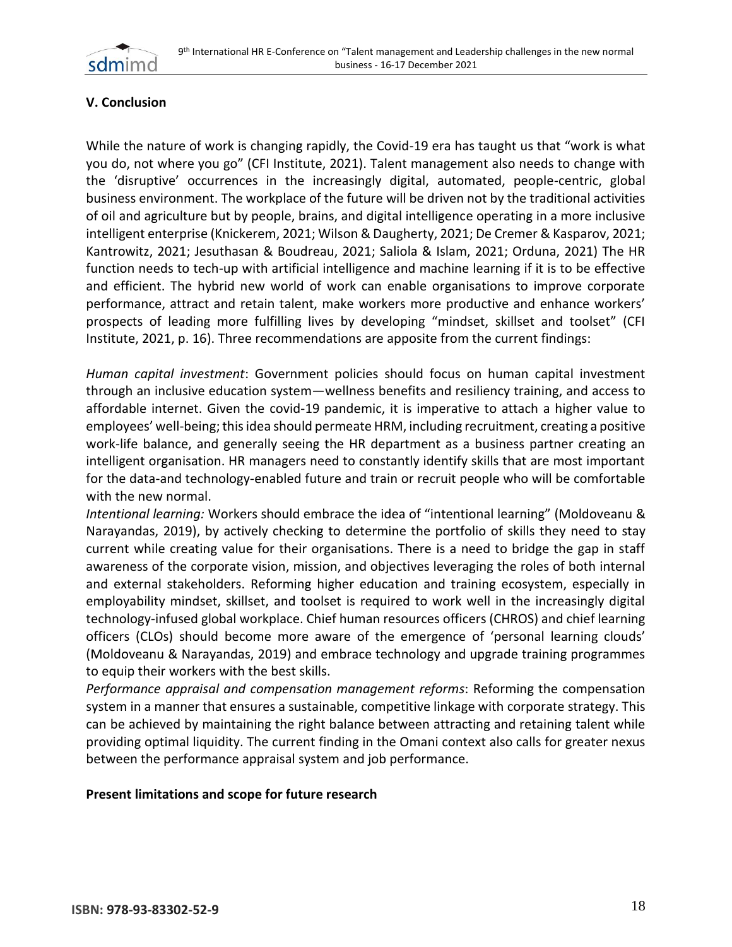

# **V. Conclusion**

While the nature of work is changing rapidly, the Covid-19 era has taught us that "work is what you do, not where you go" (CFI Institute, 2021). Talent management also needs to change with the 'disruptive' occurrences in the increasingly digital, automated, people-centric, global business environment. The workplace of the future will be driven not by the traditional activities of oil and agriculture but by people, brains, and digital intelligence operating in a more inclusive intelligent enterprise (Knickerem, 2021; Wilson & Daugherty, 2021; De Cremer & Kasparov, 2021; Kantrowitz, 2021; Jesuthasan & Boudreau, 2021; Saliola & Islam, 2021; Orduna, 2021) The HR function needs to tech-up with artificial intelligence and machine learning if it is to be effective and efficient. The hybrid new world of work can enable organisations to improve corporate performance, attract and retain talent, make workers more productive and enhance workers' prospects of leading more fulfilling lives by developing "mindset, skillset and toolset" (CFI Institute, 2021, p. 16). Three recommendations are apposite from the current findings:

*Human capital investment*: Government policies should focus on human capital investment through an inclusive education system—wellness benefits and resiliency training, and access to affordable internet. Given the covid-19 pandemic, it is imperative to attach a higher value to employees' well-being; this idea should permeate HRM, including recruitment, creating a positive work-life balance, and generally seeing the HR department as a business partner creating an intelligent organisation. HR managers need to constantly identify skills that are most important for the data-and technology-enabled future and train or recruit people who will be comfortable with the new normal.

*Intentional learning:* Workers should embrace the idea of "intentional learning" (Moldoveanu & Narayandas, 2019), by actively checking to determine the portfolio of skills they need to stay current while creating value for their organisations. There is a need to bridge the gap in staff awareness of the corporate vision, mission, and objectives leveraging the roles of both internal and external stakeholders. Reforming higher education and training ecosystem, especially in employability mindset, skillset, and toolset is required to work well in the increasingly digital technology-infused global workplace. Chief human resources officers (CHROS) and chief learning officers (CLOs) should become more aware of the emergence of 'personal learning clouds' (Moldoveanu & Narayandas, 2019) and embrace technology and upgrade training programmes to equip their workers with the best skills.

*Performance appraisal and compensation management reforms*: Reforming the compensation system in a manner that ensures a sustainable, competitive linkage with corporate strategy. This can be achieved by maintaining the right balance between attracting and retaining talent while providing optimal liquidity. The current finding in the Omani context also calls for greater nexus between the performance appraisal system and job performance.

#### **Present limitations and scope for future research**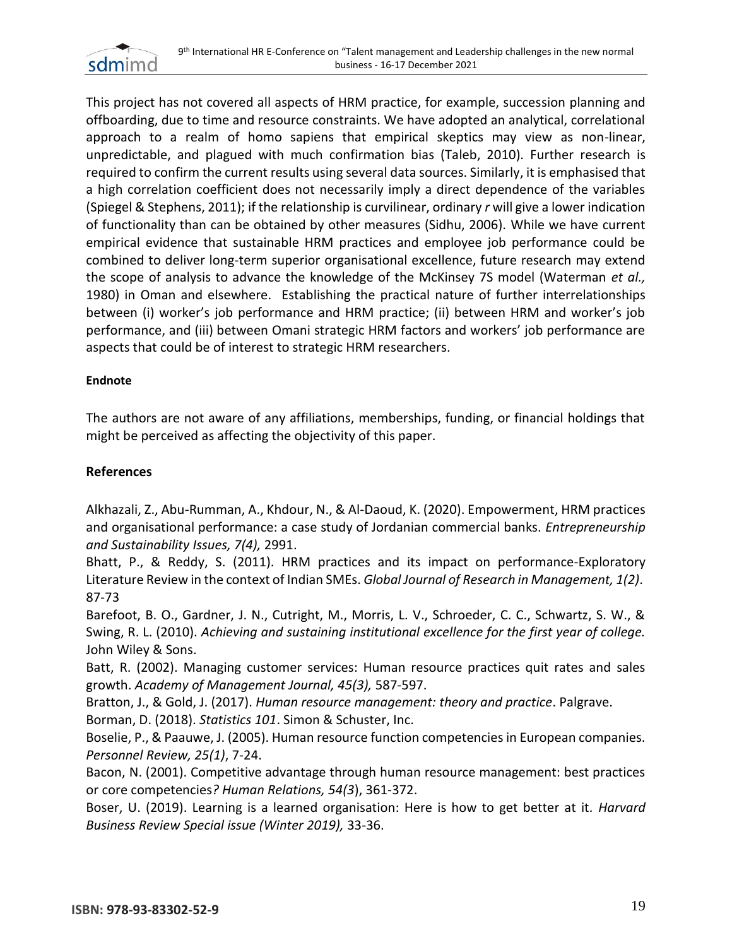

This project has not covered all aspects of HRM practice, for example, succession planning and offboarding, due to time and resource constraints. We have adopted an analytical, correlational approach to a realm of homo sapiens that empirical skeptics may view as non-linear, unpredictable, and plagued with much confirmation bias (Taleb, 2010). Further research is required to confirm the current results using several data sources. Similarly, it is emphasised that a high correlation coefficient does not necessarily imply a direct dependence of the variables (Spiegel & Stephens, 2011); if the relationship is curvilinear, ordinary *r* will give a lower indication of functionality than can be obtained by other measures (Sidhu, 2006). While we have current empirical evidence that sustainable HRM practices and employee job performance could be combined to deliver long-term superior organisational excellence, future research may extend the scope of analysis to advance the knowledge of the McKinsey 7S model (Waterman *et al.,* 1980) in Oman and elsewhere. Establishing the practical nature of further interrelationships between (i) worker's job performance and HRM practice; (ii) between HRM and worker's job performance, and (iii) between Omani strategic HRM factors and workers' job performance are aspects that could be of interest to strategic HRM researchers.

#### **Endnote**

The authors are not aware of any affiliations, memberships, funding, or financial holdings that might be perceived as affecting the objectivity of this paper.

## **References**

Alkhazali, Z., Abu-Rumman, A., Khdour, N., & Al-Daoud, K. (2020). Empowerment, HRM practices and organisational performance: a case study of Jordanian commercial banks. *Entrepreneurship and Sustainability Issues, 7(4),* 2991.

Bhatt, P., & Reddy, S. (2011). HRM practices and its impact on performance-Exploratory Literature Review in the context of Indian SMEs. *Global Journal of Research in Management, 1(2)*. 87-73

Barefoot, B. O., Gardner, J. N., Cutright, M., Morris, L. V., Schroeder, C. C., Schwartz, S. W., & Swing, R. L. (2010). *Achieving and sustaining institutional excellence for the first year of college.* John Wiley & Sons.

Batt, R. (2002). Managing customer services: Human resource practices quit rates and sales growth. *Academy of Management Journal, 45(3),* 587-597.

Bratton, J., & Gold, J. (2017). *Human resource management: theory and practice*. Palgrave.

Borman, D. (2018). *Statistics 101*. Simon & Schuster, Inc.

Boselie, P., & Paauwe, J. (2005). Human resource function competencies in European companies. *Personnel Review, 25(1)*, 7-24.

Bacon, N. (2001). Competitive advantage through human resource management: best practices or core competencies*? Human Relations, 54(3*), 361-372.

Boser, U. (2019). Learning is a learned organisation: Here is how to get better at it*. Harvard Business Review Special issue (Winter 2019),* 33-36.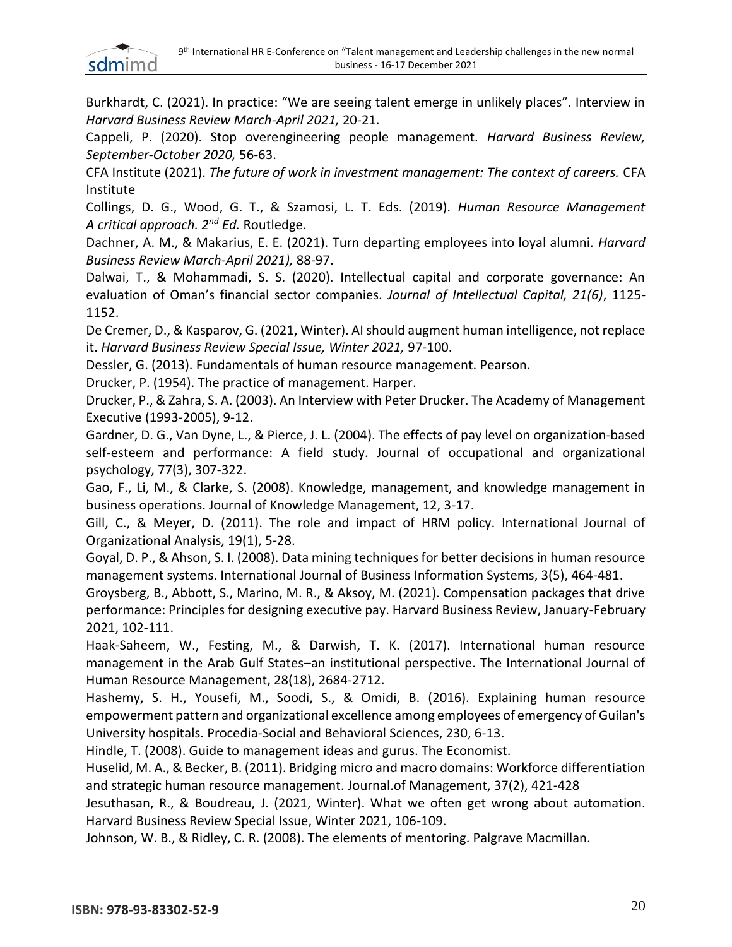

Burkhardt, C. (2021). In practice: "We are seeing talent emerge in unlikely places". Interview in *Harvard Business Review March-April 2021,* 20-21.

Cappeli, P. (2020). Stop overengineering people management*. Harvard Business Review, September-October 2020,* 56-63.

CFA Institute (2021). *The future of work in investment management: The context of careers.* CFA Institute

Collings, D. G., Wood, G. T., & Szamosi, L. T. Eds. (2019). *Human Resource Management A critical approach. 2nd Ed.* Routledge.

Dachner, A. M., & Makarius, E. E. (2021). Turn departing employees into loyal alumni*. Harvard Business Review March-April 2021),* 88-97.

Dalwai, T., & Mohammadi, S. S. (2020). Intellectual capital and corporate governance: An evaluation of Oman's financial sector companies. *Journal of Intellectual Capital, 21(6)*, 1125- 1152.

De Cremer, D., & Kasparov, G. (2021, Winter). AI should augment human intelligence, not replace it. *Harvard Business Review Special Issue, Winter 2021,* 97-100.

Dessler, G. (2013). Fundamentals of human resource management. Pearson.

Drucker, P. (1954). The practice of management. Harper.

Drucker, P., & Zahra, S. A. (2003). An Interview with Peter Drucker. The Academy of Management Executive (1993-2005), 9-12.

Gardner, D. G., Van Dyne, L., & Pierce, J. L. (2004). The effects of pay level on organization‐based self-esteem and performance: A field study. Journal of occupational and organizational psychology, 77(3), 307-322.

Gao, F., Li, M., & Clarke, S. (2008). Knowledge, management, and knowledge management in business operations. Journal of Knowledge Management, 12, 3-17.

Gill, C., & Meyer, D. (2011). The role and impact of HRM policy. International Journal of Organizational Analysis, 19(1), 5-28.

Goyal, D. P., & Ahson, S. I. (2008). Data mining techniques for better decisions in human resource management systems. International Journal of Business Information Systems, 3(5), 464-481.

Groysberg, B., Abbott, S., Marino, M. R., & Aksoy, M. (2021). Compensation packages that drive performance: Principles for designing executive pay. Harvard Business Review, January-February 2021, 102-111.

Haak-Saheem, W., Festing, M., & Darwish, T. K. (2017). International human resource management in the Arab Gulf States–an institutional perspective. The International Journal of Human Resource Management, 28(18), 2684-2712.

Hashemy, S. H., Yousefi, M., Soodi, S., & Omidi, B. (2016). Explaining human resource empowerment pattern and organizational excellence among employees of emergency of Guilan's University hospitals. Procedia-Social and Behavioral Sciences, 230, 6-13.

Hindle, T. (2008). Guide to management ideas and gurus. The Economist.

Huselid, M. A., & Becker, B. (2011). Bridging micro and macro domains: Workforce differentiation and strategic human resource management. Journal.of Management, 37(2), 421-428

Jesuthasan, R., & Boudreau, J. (2021, Winter). What we often get wrong about automation. Harvard Business Review Special Issue, Winter 2021, 106-109.

Johnson, W. B., & Ridley, C. R. (2008). The elements of mentoring. Palgrave Macmillan.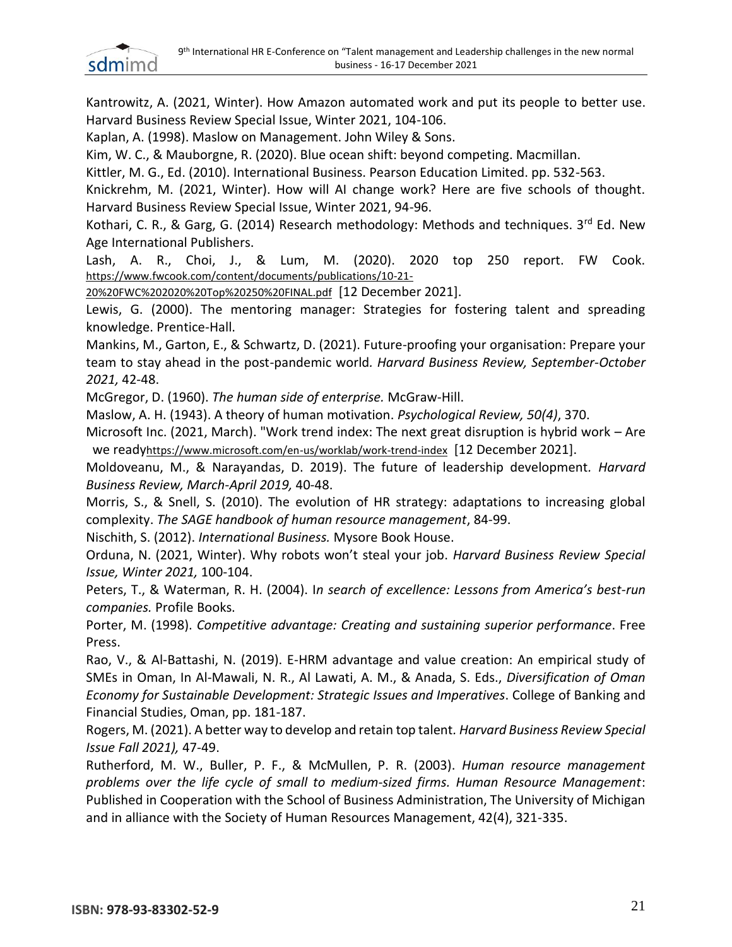

Kantrowitz, A. (2021, Winter). How Amazon automated work and put its people to better use. Harvard Business Review Special Issue, Winter 2021, 104-106.

Kaplan, A. (1998). Maslow on Management. John Wiley & Sons.

Kim, W. C., & Mauborgne, R. (2020). Blue ocean shift: beyond competing. Macmillan.

Kittler, M. G., Ed. (2010). International Business. Pearson Education Limited. pp. 532-563.

Knickrehm, M. (2021, Winter). How will AI change work? Here are five schools of thought. Harvard Business Review Special Issue, Winter 2021, 94-96.

Kothari, C. R., & Garg, G. (2014) Research methodology: Methods and techniques.  $3^{rd}$  Ed. New Age International Publishers.

Lash, A. R., Choi, J., & Lum, M. (2020). 2020 top 250 report. FW Cook. [https://www.fwcook.com/content/documents/publications/10-21-](https://www.fwcook.com/content/documents/publications/10-21-20%20FWC%202020%20Top%20250%20FINAL.pdf)

[20%20FWC%202020%20Top%20250%20FINAL.pdf](https://www.fwcook.com/content/documents/publications/10-21-20%20FWC%202020%20Top%20250%20FINAL.pdf) [12 December 2021].

Lewis, G. (2000). The mentoring manager: Strategies for fostering talent and spreading knowledge. Prentice-Hall.

Mankins, M., Garton, E., & Schwartz, D. (2021). Future-proofing your organisation: Prepare your team to stay ahead in the post-pandemic world*. Harvard Business Review, September-October 2021,* 42-48.

McGregor, D. (1960). *The human side of enterprise.* McGraw-Hill.

Maslow, A. H. (1943). A theory of human motivation. *Psychological Review, 50(4)*, 370.

 Microsoft Inc. (2021, March). "Work trend index: The next great disruption is hybrid work – Are we ready<https://www.microsoft.com/en-us/worklab/work-trend-index> [12 December 2021].

Moldoveanu, M., & Narayandas, D. 2019). The future of leadership development*. Harvard Business Review, March-April 2019,* 40-48.

Morris, S., & Snell, S. (2010). The evolution of HR strategy: adaptations to increasing global complexity. *The SAGE handbook of human resource management*, 84-99.

Nischith, S. (2012). *International Business.* Mysore Book House.

Orduna, N. (2021, Winter). Why robots won't steal your job. *Harvard Business Review Special Issue, Winter 2021,* 100-104.

Peters, T., & Waterman, R. H. (2004). I*n search of excellence: Lessons from America's best-run companies.* Profile Books.

Porter, M. (1998). *Competitive advantage: Creating and sustaining superior performance*. Free Press.

Rao, V., & Al-Battashi, N. (2019). E-HRM advantage and value creation: An empirical study of SMEs in Oman, In Al-Mawali, N. R., Al Lawati, A. M., & Anada, S. Eds., *Diversification of Oman Economy for Sustainable Development: Strategic Issues and Imperatives*. College of Banking and Financial Studies, Oman, pp. 181-187.

Rogers, M. (2021). A better way to develop and retain top talent*. Harvard Business Review Special Issue Fall 2021),* 47-49.

Rutherford, M. W., Buller, P. F., & McMullen, P. R. (2003). *Human resource management problems over the life cycle of small to medium‐sized firms. Human Resource Management*: Published in Cooperation with the School of Business Administration, The University of Michigan and in alliance with the Society of Human Resources Management, 42(4), 321-335.